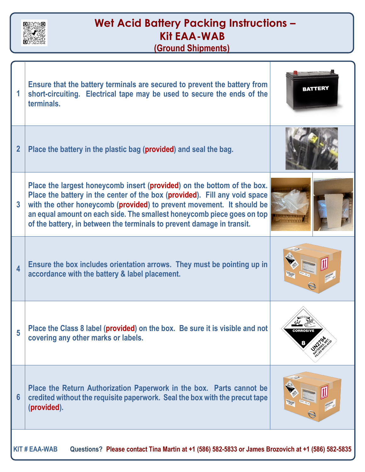

## **Wet Acid Battery Packing Instructions – Kit EAA-WAB (Ground Shipments)**

| 1                                                                                                                          | Ensure that the battery terminals are secured to prevent the battery from<br>short-circuiting. Electrical tape may be used to secure the ends of the<br>terminals.                                                                                                                                                                                                                 | <b>BATTERY</b> |
|----------------------------------------------------------------------------------------------------------------------------|------------------------------------------------------------------------------------------------------------------------------------------------------------------------------------------------------------------------------------------------------------------------------------------------------------------------------------------------------------------------------------|----------------|
| $\overline{2}$                                                                                                             | Place the battery in the plastic bag (provided) and seal the bag.                                                                                                                                                                                                                                                                                                                  |                |
| $\overline{3}$                                                                                                             | Place the largest honeycomb insert (provided) on the bottom of the box.<br>Place the battery in the center of the box (provided). Fill any void space<br>with the other honeycomb (provided) to prevent movement. It should be<br>an equal amount on each side. The smallest honeycomb piece goes on top<br>of the battery, in between the terminals to prevent damage in transit. |                |
| $\overline{\mathbf{4}}$                                                                                                    | Ensure the box includes orientation arrows. They must be pointing up in<br>accordance with the battery & label placement.                                                                                                                                                                                                                                                          |                |
| 5                                                                                                                          | Place the Class 8 label (provided) on the box. Be sure it is visible and not<br>covering any other marks or labels.                                                                                                                                                                                                                                                                |                |
| $6\phantom{1}6$                                                                                                            | Place the Return Authorization Paperwork in the box. Parts cannot be<br>credited without the requisite paperwork. Seal the box with the precut tape<br>(provided).                                                                                                                                                                                                                 |                |
| Questions? Please contact Tina Martin at +1 (586) 582-5833 or James Brozovich at +1 (586) 582-5835<br><b>KIT # EAA-WAB</b> |                                                                                                                                                                                                                                                                                                                                                                                    |                |